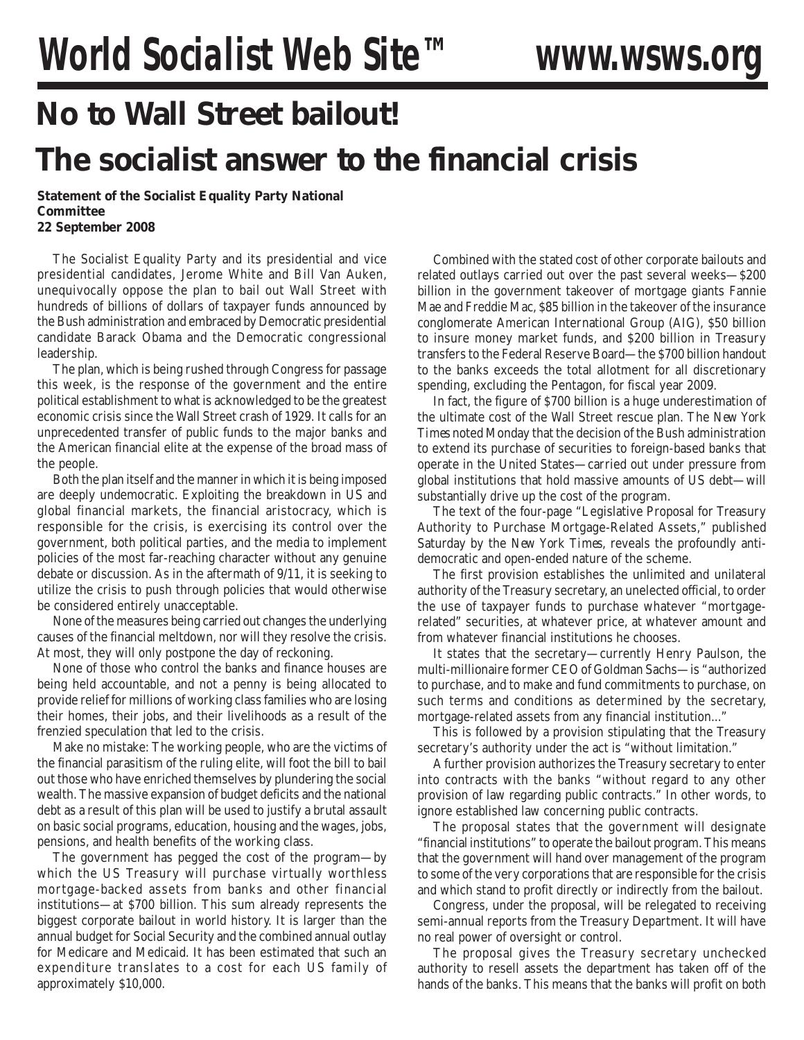## **No to Wall Street bailout!**

## **The socialist answer to the financial crisis**

**Statement of the Socialist Equality Party National Committee 22 September 2008**

The Socialist Equality Party and its presidential and vice presidential candidates, Jerome White and Bill Van Auken, unequivocally oppose the plan to bail out Wall Street with hundreds of billions of dollars of taxpayer funds announced by the Bush administration and embraced by Democratic presidential candidate Barack Obama and the Democratic congressional leadership.

The plan, which is being rushed through Congress for passage this week, is the response of the government and the entire political establishment to what is acknowledged to be the greatest economic crisis since the Wall Street crash of 1929. It calls for an unprecedented transfer of public funds to the major banks and the American financial elite at the expense of the broad mass of the people.

Both the plan itself and the manner in which it is being imposed are deeply undemocratic. Exploiting the breakdown in US and global financial markets, the financial aristocracy, which is responsible for the crisis, is exercising its control over the government, both political parties, and the media to implement policies of the most far-reaching character without any genuine debate or discussion. As in the aftermath of 9/11, it is seeking to utilize the crisis to push through policies that would otherwise be considered entirely unacceptable.

None of the measures being carried out changes the underlying causes of the financial meltdown, nor will they resolve the crisis. At most, they will only postpone the day of reckoning.

None of those who control the banks and finance houses are being held accountable, and not a penny is being allocated to provide relief for millions of working class families who are losing their homes, their jobs, and their livelihoods as a result of the frenzied speculation that led to the crisis.

Make no mistake: The working people, who are the victims of the financial parasitism of the ruling elite, will foot the bill to bail out those who have enriched themselves by plundering the social wealth. The massive expansion of budget deficits and the national debt as a result of this plan will be used to justify a brutal assault on basic social programs, education, housing and the wages, jobs, pensions, and health benefits of the working class.

The government has pegged the cost of the program—by which the US Treasury will purchase virtually worthless mortgage-backed assets from banks and other financial institutions—at \$700 billion. This sum already represents the biggest corporate bailout in world history. It is larger than the annual budget for Social Security and the combined annual outlay for Medicare and Medicaid. It has been estimated that such an expenditure translates to a cost for each US family of approximately \$10,000.

Combined with the stated cost of other corporate bailouts and related outlays carried out over the past several weeks—\$200 billion in the government takeover of mortgage giants Fannie Mae and Freddie Mac, \$85 billion in the takeover of the insurance conglomerate American International Group (AIG), \$50 billion to insure money market funds, and \$200 billion in Treasury transfers to the Federal Reserve Board—the \$700 billion handout to the banks exceeds the total allotment for all discretionary spending, excluding the Pentagon, for fiscal year 2009.

In fact, the figure of \$700 billion is a huge underestimation of the ultimate cost of the Wall Street rescue plan. The *New York Times* noted Monday that the decision of the Bush administration to extend its purchase of securities to foreign-based banks that operate in the United States—carried out under pressure from global institutions that hold massive amounts of US debt—will substantially drive up the cost of the program.

The text of the four-page "Legislative Proposal for Treasury Authority to Purchase Mortgage-Related Assets," published Saturday by the *New York Times*, reveals the profoundly antidemocratic and open-ended nature of the scheme.

The first provision establishes the unlimited and unilateral authority of the Treasury secretary, an unelected official, to order the use of taxpayer funds to purchase whatever "mortgagerelated" securities, at whatever price, at whatever amount and from whatever financial institutions he chooses.

It states that the secretary—currently Henry Paulson, the multi-millionaire former CEO of Goldman Sachs—is "authorized to purchase, and to make and fund commitments to purchase, on such terms and conditions as determined by the secretary, mortgage-related assets from any financial institution..."

This is followed by a provision stipulating that the Treasury secretary's authority under the act is "without limitation."

A further provision authorizes the Treasury secretary to enter into contracts with the banks "without regard to any other provision of law regarding public contracts." In other words, to ignore established law concerning public contracts.

The proposal states that the government will designate "financial institutions" to operate the bailout program. This means that the government will hand over management of the program to some of the very corporations that are responsible for the crisis and which stand to profit directly or indirectly from the bailout.

Congress, under the proposal, will be relegated to receiving semi-annual reports from the Treasury Department. It will have no real power of oversight or control.

The proposal gives the Treasury secretary unchecked authority to resell assets the department has taken off of the hands of the banks. This means that the banks will profit on both